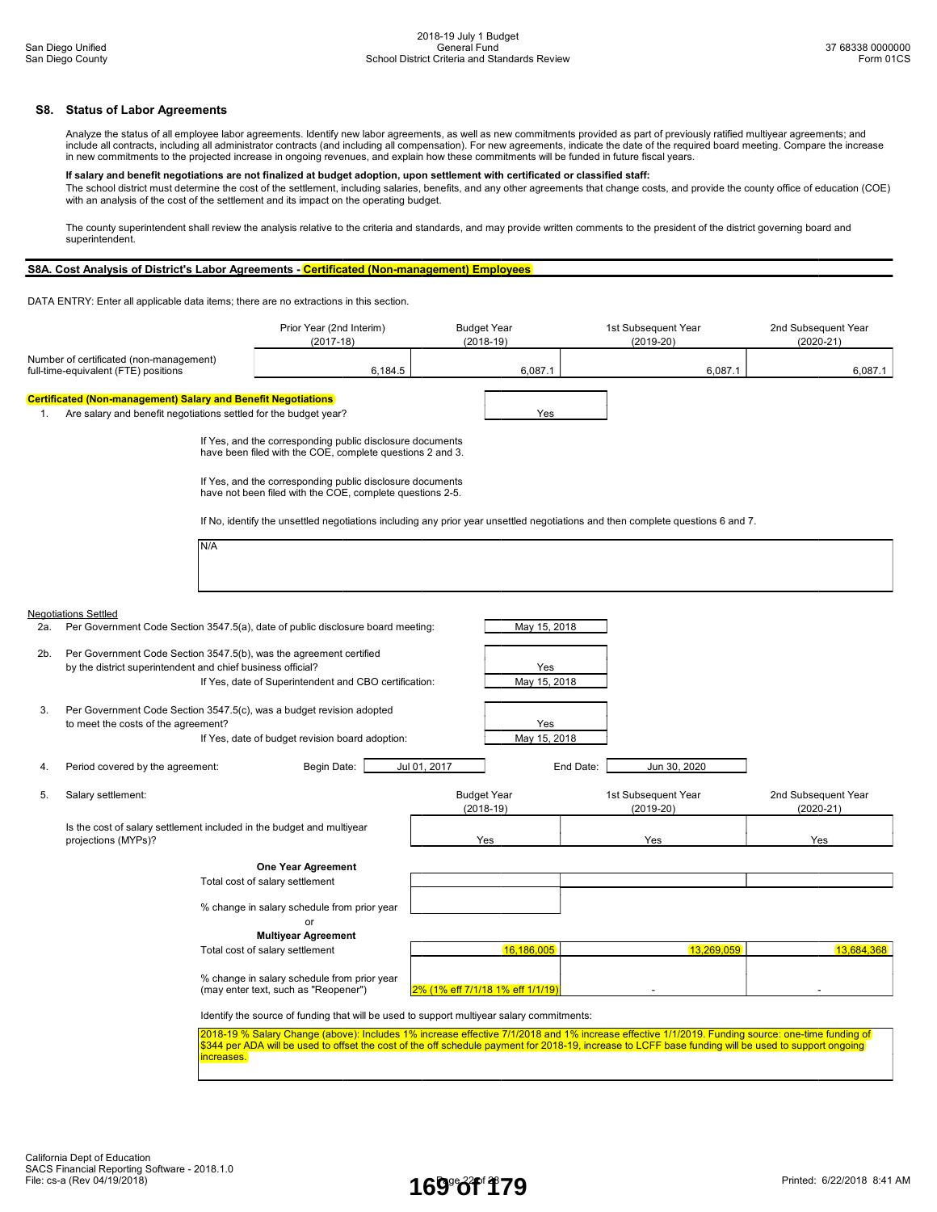## S8. Status of Labor Agreements

Analyze the status of all employee labor agreements. Identify new labor agreements, as well as new commitments provided as part of previously ratified multiyear agreements; and include all contracts, including all administrator contracts (and including all compensation). For new agreements, indicate the date of the required board meeting. Compare the increase in new commitments to the projected increase in ongoing revenues, and explain how these commitments will be funded in future fiscal years.

### If salary and benefit negotiations are not finalized at budget adoption, upon settlement with certificated or classified staff:

The school district must determine the cost of the settlement, including salaries, benefits, and any other agreements that change costs, and provide the county office of education (COE) with an analysis of the cost of the settlement and its impact on the operating budget.

The county superintendent shall review the analysis relative to the criteria and standards, and may provide written comments to the president of the district governing board and superintendent.

# S8A. Cost Analysis of District's Labor Agreements - Certificated (Non-management) Employees

DATA ENTRY: Enter all applicable data items; there are no extractions in this section.

|                                                                                 |                                                                                                                                   | Prior Year (2nd Interim)<br>$(2017-18)$                                                                                                                                                                                                                                                                  | <b>Budget Year</b><br>$(2018-19)$ |              | 1st Subsequent Year<br>$(2019-20)$ |              | 2nd Subsequent Year<br>$(2020 - 21)$ |
|---------------------------------------------------------------------------------|-----------------------------------------------------------------------------------------------------------------------------------|----------------------------------------------------------------------------------------------------------------------------------------------------------------------------------------------------------------------------------------------------------------------------------------------------------|-----------------------------------|--------------|------------------------------------|--------------|--------------------------------------|
| Number of certificated (non-management)<br>full-time-equivalent (FTE) positions |                                                                                                                                   | 6,184.5                                                                                                                                                                                                                                                                                                  |                                   | 6,087.1      |                                    | 6,087.1      | 6,087.1                              |
|                                                                                 | <b>Certificated (Non-management) Salary and Benefit Negotiations</b>                                                              |                                                                                                                                                                                                                                                                                                          |                                   |              |                                    |              |                                      |
| 1.                                                                              | Are salary and benefit negotiations settled for the budget year?                                                                  |                                                                                                                                                                                                                                                                                                          |                                   | Yes          |                                    |              |                                      |
|                                                                                 |                                                                                                                                   | If Yes, and the corresponding public disclosure documents<br>have been filed with the COE, complete questions 2 and 3.                                                                                                                                                                                   |                                   |              |                                    |              |                                      |
|                                                                                 |                                                                                                                                   | If Yes, and the corresponding public disclosure documents<br>have not been filed with the COE, complete questions 2-5.                                                                                                                                                                                   |                                   |              |                                    |              |                                      |
|                                                                                 |                                                                                                                                   | If No, identify the unsettled negotiations including any prior year unsettled negotiations and then complete questions 6 and 7.                                                                                                                                                                          |                                   |              |                                    |              |                                      |
|                                                                                 | N/A                                                                                                                               |                                                                                                                                                                                                                                                                                                          |                                   |              |                                    |              |                                      |
|                                                                                 | <b>Negotiations Settled</b>                                                                                                       |                                                                                                                                                                                                                                                                                                          |                                   |              |                                    |              |                                      |
| 2a.                                                                             | Per Government Code Section 3547.5(a), date of public disclosure board meeting:                                                   |                                                                                                                                                                                                                                                                                                          |                                   | May 15, 2018 |                                    |              |                                      |
| 2b.                                                                             | Per Government Code Section 3547.5(b), was the agreement certified<br>by the district superintendent and chief business official? |                                                                                                                                                                                                                                                                                                          |                                   | Yes          |                                    |              |                                      |
|                                                                                 |                                                                                                                                   | If Yes, date of Superintendent and CBO certification:                                                                                                                                                                                                                                                    |                                   | May 15, 2018 |                                    |              |                                      |
| 3.                                                                              | Per Government Code Section 3547.5(c), was a budget revision adopted<br>to meet the costs of the agreement?                       |                                                                                                                                                                                                                                                                                                          |                                   | Yes          |                                    |              |                                      |
|                                                                                 |                                                                                                                                   | If Yes, date of budget revision board adoption:                                                                                                                                                                                                                                                          |                                   | May 15, 2018 |                                    |              |                                      |
| 4.                                                                              | Period covered by the agreement:                                                                                                  | Begin Date:                                                                                                                                                                                                                                                                                              | Jul 01, 2017                      |              | End Date:                          | Jun 30, 2020 |                                      |
| 5.                                                                              | Salary settlement:                                                                                                                |                                                                                                                                                                                                                                                                                                          | <b>Budget Year</b><br>$(2018-19)$ |              | 1st Subsequent Year<br>$(2019-20)$ |              | 2nd Subsequent Year<br>$(2020 - 21)$ |
|                                                                                 | Is the cost of salary settlement included in the budget and multiyear<br>projections (MYPs)?                                      |                                                                                                                                                                                                                                                                                                          | Yes                               |              | Yes                                |              | Yes                                  |
|                                                                                 |                                                                                                                                   | <b>One Year Agreement</b>                                                                                                                                                                                                                                                                                |                                   |              |                                    |              |                                      |
|                                                                                 |                                                                                                                                   | Total cost of salary settlement                                                                                                                                                                                                                                                                          |                                   |              |                                    |              |                                      |
|                                                                                 |                                                                                                                                   | % change in salary schedule from prior year<br>or                                                                                                                                                                                                                                                        |                                   |              |                                    |              |                                      |
|                                                                                 |                                                                                                                                   | <b>Multiyear Agreement</b>                                                                                                                                                                                                                                                                               |                                   |              |                                    |              |                                      |
|                                                                                 |                                                                                                                                   | Total cost of salary settlement                                                                                                                                                                                                                                                                          |                                   | 16,186,005   |                                    | 13,269,059   | 13,684,368                           |
|                                                                                 |                                                                                                                                   | % change in salary schedule from prior year<br>(may enter text, such as "Reopener")                                                                                                                                                                                                                      | 2% (1% eff 7/1/18 1% eff 1/1/19)  |              |                                    |              |                                      |
|                                                                                 |                                                                                                                                   | Identify the source of funding that will be used to support multiyear salary commitments:                                                                                                                                                                                                                |                                   |              |                                    |              |                                      |
|                                                                                 | increases.                                                                                                                        | 2018-19 % Salary Change (above): Includes 1% increase effective 7/1/2018 and 1% increase effective 1/1/2019. Funding source: one-time funding of<br>\$344 per ADA will be used to offset the cost of the off schedule payment for 2018-19, increase to LCFF base funding will be used to support ongoing |                                   |              |                                    |              |                                      |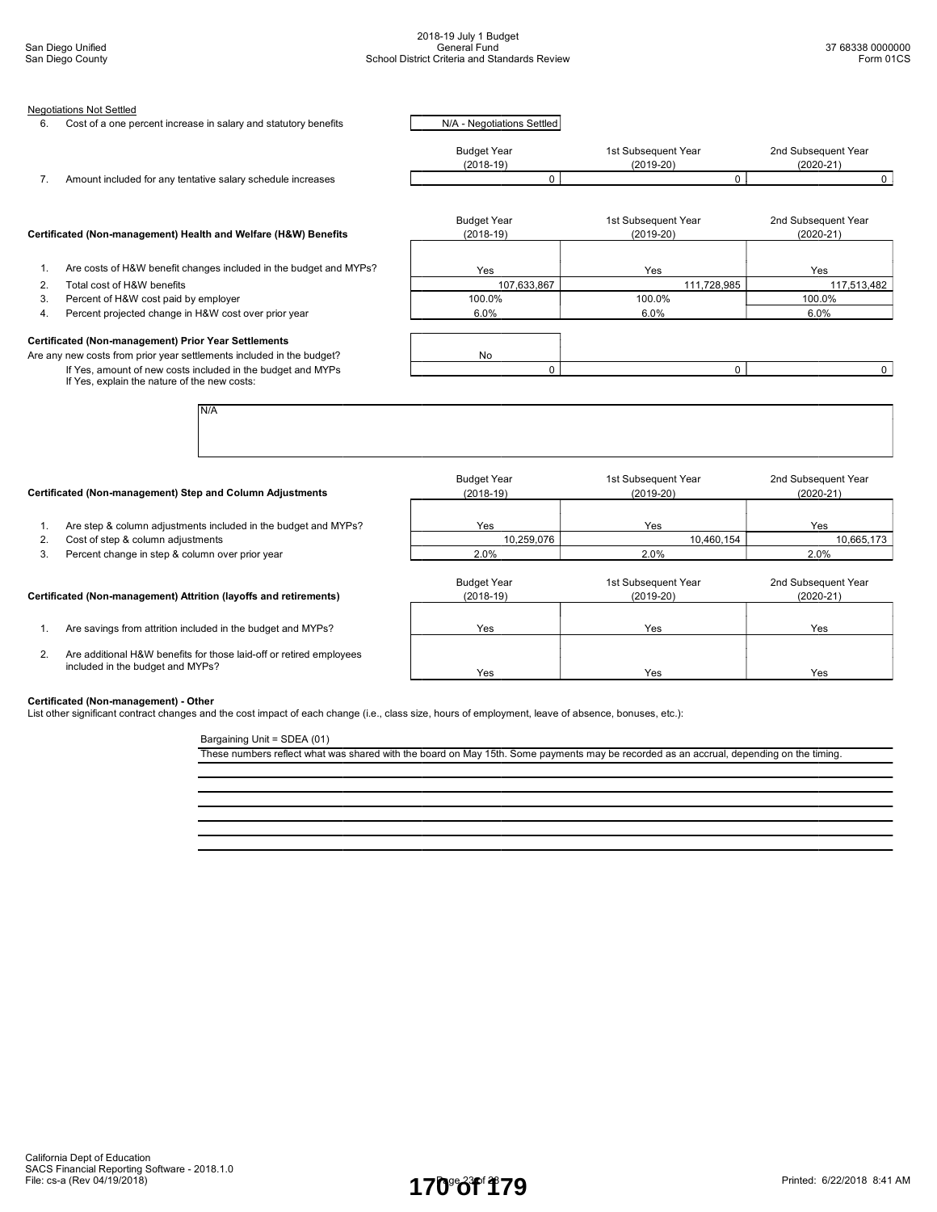|                | <b>Negotiations Not Settled</b>                                                                                               |                                   |                                      |                                      |
|----------------|-------------------------------------------------------------------------------------------------------------------------------|-----------------------------------|--------------------------------------|--------------------------------------|
| 6.             | Cost of a one percent increase in salary and statutory benefits                                                               | N/A - Negotiations Settled        |                                      |                                      |
|                |                                                                                                                               | <b>Budget Year</b><br>$(2018-19)$ | 1st Subsequent Year<br>$(2019-20)$   | 2nd Subsequent Year<br>$(2020 - 21)$ |
| 7.             | Amount included for any tentative salary schedule increases                                                                   | $\mathbf 0$                       | 0                                    | $\mathbf 0$                          |
|                | Certificated (Non-management) Health and Welfare (H&W) Benefits                                                               | <b>Budget Year</b><br>$(2018-19)$ | 1st Subsequent Year<br>$(2019-20)$   | 2nd Subsequent Year<br>$(2020 - 21)$ |
| 1.             | Are costs of H&W benefit changes included in the budget and MYPs?                                                             | Yes                               | Yes                                  | Yes                                  |
| 2.             | Total cost of H&W benefits                                                                                                    | 107,633,867                       | 111,728,985                          | 117,513,482                          |
| 3.             | Percent of H&W cost paid by employer                                                                                          | 100.0%                            | 100.0%                               | 100.0%                               |
| 4.             | Percent projected change in H&W cost over prior year                                                                          | 6.0%                              | 6.0%                                 | 6.0%                                 |
|                |                                                                                                                               |                                   |                                      |                                      |
|                | Certificated (Non-management) Prior Year Settlements<br>Are any new costs from prior year settlements included in the budget? | No                                |                                      |                                      |
|                | If Yes, amount of new costs included in the budget and MYPs<br>If Yes, explain the nature of the new costs:                   | $\Omega$                          | $\Omega$                             | $\mathbf{0}$                         |
|                | N/A                                                                                                                           |                                   |                                      |                                      |
|                | Certificated (Non-management) Step and Column Adjustments                                                                     | <b>Budget Year</b><br>$(2018-19)$ | 1st Subsequent Year<br>$(2019 - 20)$ | 2nd Subsequent Year<br>$(2020 - 21)$ |
|                |                                                                                                                               |                                   |                                      |                                      |
| $\mathbf{1}$ . | Are step & column adjustments included in the budget and MYPs?                                                                | Yes                               | Yes                                  | Yes                                  |
| 2.             | Cost of step & column adjustments                                                                                             | 10,259,076                        | 10,460,154                           | 10,665,173                           |
| 3.             | Percent change in step & column over prior year                                                                               | 2.0%                              | 2.0%                                 | 2.0%                                 |
|                | Certificated (Non-management) Attrition (layoffs and retirements)                                                             | <b>Budget Year</b><br>$(2018-19)$ | 1st Subsequent Year<br>$(2019-20)$   | 2nd Subsequent Year<br>(2020-21)     |
| 1.             | Are savings from attrition included in the budget and MYPs?                                                                   | Yes                               | Yes                                  | Yes                                  |
| 2.             | Are additional H&W benefits for those laid-off or retired employees<br>included in the budget and MYPs?                       | Yes                               | Yes                                  | Yes                                  |

These numbers reflect what was shared with the board on May 15th. Some payments may be recorded as an accrual, depending on the timing.

**Certificated (Non-management) - Other**<br>List other significant contract changes and the cost impact of each change (i.e., class size, hours of employment, leave of absence, bonuses, etc.):

Bargaining Unit = SDEA (01)

California Dept of Education SACS Financial Reporting Software - 2018.1.0 File: cs-a (Rev 04/19/2018) Page 23 of 28 Printed: 6/22/2018 8:41 AM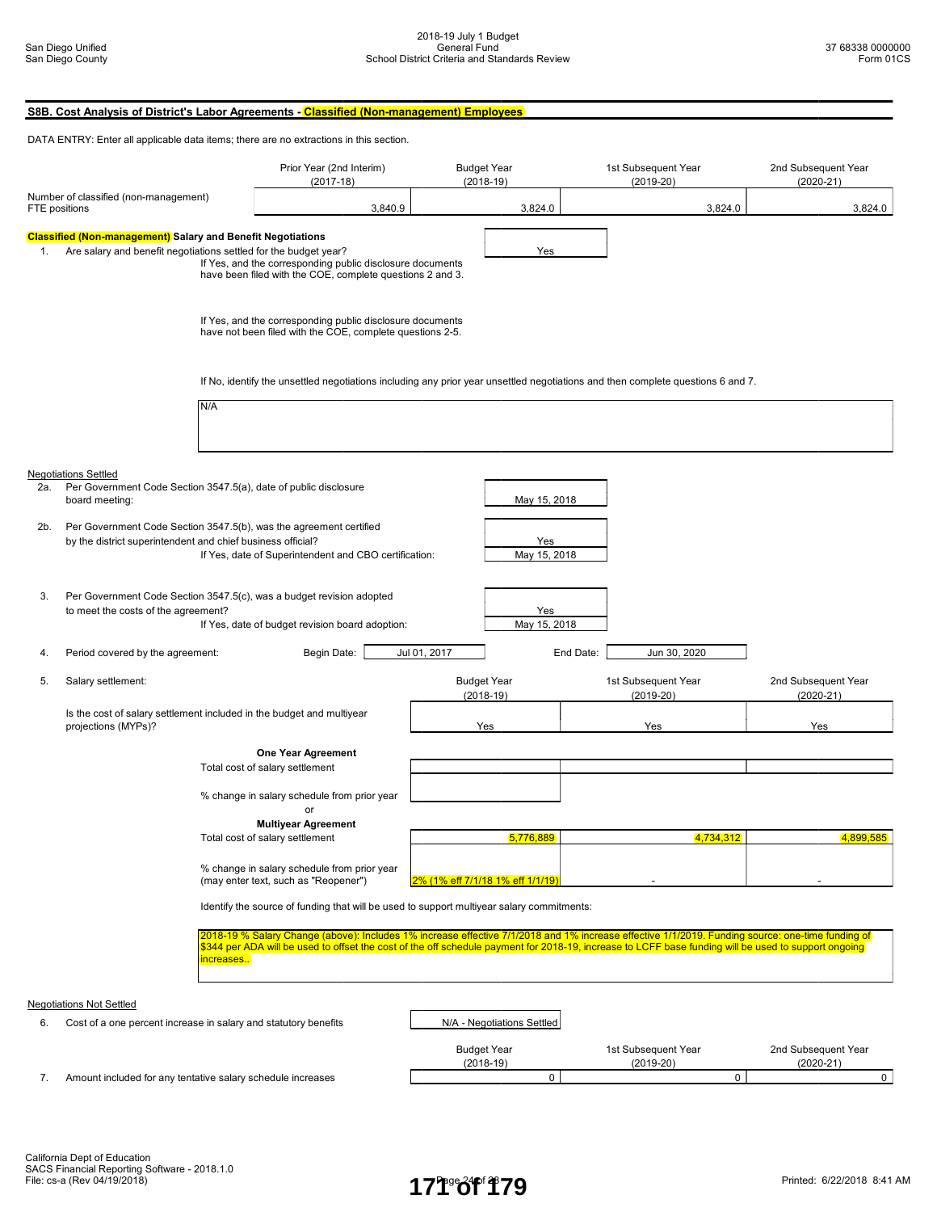|                                                                                                                                                                                                                                                                        |                                                                                                                   | S8B. Cost Analysis of District's Labor Agreements - Classified (Non-management) Employees                                                                                                                                                                                                                             |              |                                                  |                                    |                                    |
|------------------------------------------------------------------------------------------------------------------------------------------------------------------------------------------------------------------------------------------------------------------------|-------------------------------------------------------------------------------------------------------------------|-----------------------------------------------------------------------------------------------------------------------------------------------------------------------------------------------------------------------------------------------------------------------------------------------------------------------|--------------|--------------------------------------------------|------------------------------------|------------------------------------|
|                                                                                                                                                                                                                                                                        |                                                                                                                   | DATA ENTRY: Enter all applicable data items; there are no extractions in this section.                                                                                                                                                                                                                                |              |                                                  |                                    |                                    |
|                                                                                                                                                                                                                                                                        |                                                                                                                   | Prior Year (2nd Interim)<br>$(2017-18)$                                                                                                                                                                                                                                                                               |              | <b>Budget Year</b><br>$(2018-19)$                | 1st Subsequent Year<br>$(2019-20)$ | 2nd Subsequent Year<br>$(2020-21)$ |
| Number of classified (non-management)<br>FTE positions<br>3,840.9                                                                                                                                                                                                      |                                                                                                                   |                                                                                                                                                                                                                                                                                                                       |              | 3,824.0                                          | 3,824.0                            | 3,824.0                            |
| <b>Classified (Non-management)</b> Salary and Benefit Negotiations<br>Are salary and benefit negotiations settled for the budget year?<br>1.<br>If Yes, and the corresponding public disclosure documents<br>have been filed with the COE, complete questions 2 and 3. |                                                                                                                   |                                                                                                                                                                                                                                                                                                                       | Yes          |                                                  |                                    |                                    |
|                                                                                                                                                                                                                                                                        |                                                                                                                   | If Yes, and the corresponding public disclosure documents<br>have not been filed with the COE, complete questions 2-5.                                                                                                                                                                                                |              |                                                  |                                    |                                    |
|                                                                                                                                                                                                                                                                        |                                                                                                                   | If No, identify the unsettled negotiations including any prior year unsettled negotiations and then complete questions 6 and 7.                                                                                                                                                                                       |              |                                                  |                                    |                                    |
|                                                                                                                                                                                                                                                                        | N/A                                                                                                               |                                                                                                                                                                                                                                                                                                                       |              |                                                  |                                    |                                    |
| 2a.                                                                                                                                                                                                                                                                    | <b>Negotiations Settled</b><br>Per Government Code Section 3547.5(a), date of public disclosure<br>board meeting: |                                                                                                                                                                                                                                                                                                                       |              | May 15, 2018                                     |                                    |                                    |
| 2b.                                                                                                                                                                                                                                                                    | by the district superintendent and chief business official?                                                       | Per Government Code Section 3547.5(b), was the agreement certified<br>If Yes, date of Superintendent and CBO certification:                                                                                                                                                                                           |              | Yes<br>May 15, 2018                              |                                    |                                    |
| 3.                                                                                                                                                                                                                                                                     | to meet the costs of the agreement?                                                                               | Per Government Code Section 3547.5(c), was a budget revision adopted<br>If Yes, date of budget revision board adoption:                                                                                                                                                                                               |              | Yes<br>May 15, 2018                              |                                    |                                    |
| 4.                                                                                                                                                                                                                                                                     | Period covered by the agreement:                                                                                  | Begin Date:                                                                                                                                                                                                                                                                                                           | Jul 01, 2017 |                                                  | End Date:<br>Jun 30, 2020          |                                    |
| 5.                                                                                                                                                                                                                                                                     | Salary settlement:                                                                                                |                                                                                                                                                                                                                                                                                                                       |              | <b>Budget Year</b><br>$(2018-19)$                | 1st Subsequent Year<br>$(2019-20)$ | 2nd Subsequent Year<br>$(2020-21)$ |
|                                                                                                                                                                                                                                                                        | Is the cost of salary settlement included in the budget and multiyear<br>projections (MYPs)?                      |                                                                                                                                                                                                                                                                                                                       |              | Yes                                              | Yes                                | Yes                                |
|                                                                                                                                                                                                                                                                        |                                                                                                                   | <b>One Year Agreement</b><br>Total cost of salary settlement<br>% change in salary schedule from prior year                                                                                                                                                                                                           |              |                                                  |                                    |                                    |
|                                                                                                                                                                                                                                                                        |                                                                                                                   | <b>Multiyear Agreement</b><br>Total cost of salary settlement                                                                                                                                                                                                                                                         |              | 5,776,889                                        | 4,734,312                          | 4.899.585                          |
|                                                                                                                                                                                                                                                                        |                                                                                                                   | % change in salary schedule from prior year<br>(may enter text, such as "Reopener")                                                                                                                                                                                                                                   |              | 2% (1% eff 7/1/18 1% eff 1/1/19)                 |                                    |                                    |
|                                                                                                                                                                                                                                                                        |                                                                                                                   | Identify the source of funding that will be used to support multiyear salary commitments:                                                                                                                                                                                                                             |              |                                                  |                                    |                                    |
|                                                                                                                                                                                                                                                                        |                                                                                                                   | 2018-19 % Salary Change (above): Includes 1% increase effective 7/1/2018 and 1% increase effective 1/1/2019. Funding source: one-time funding of<br>\$344 per ADA will be used to offset the cost of the off schedule payment for 2018-19, increase to LCFF base funding will be used to support ongoing<br>increases |              |                                                  |                                    |                                    |
|                                                                                                                                                                                                                                                                        | <b>Negotiations Not Settled</b>                                                                                   |                                                                                                                                                                                                                                                                                                                       |              |                                                  |                                    |                                    |
| 6.                                                                                                                                                                                                                                                                     | Cost of a one percent increase in salary and statutory benefits                                                   |                                                                                                                                                                                                                                                                                                                       |              | N/A - Negotiations Settled<br><b>Budget Year</b> | 1st Subsequent Year                | 2nd Subsequent Year                |
| 7.                                                                                                                                                                                                                                                                     | Amount included for any tentative salary schedule increases                                                       |                                                                                                                                                                                                                                                                                                                       |              | $(2018-19)$<br>0                                 | $(2019-20)$<br>0                   | $(2020-21)$<br>$\circ$             |
|                                                                                                                                                                                                                                                                        |                                                                                                                   |                                                                                                                                                                                                                                                                                                                       |              |                                                  |                                    |                                    |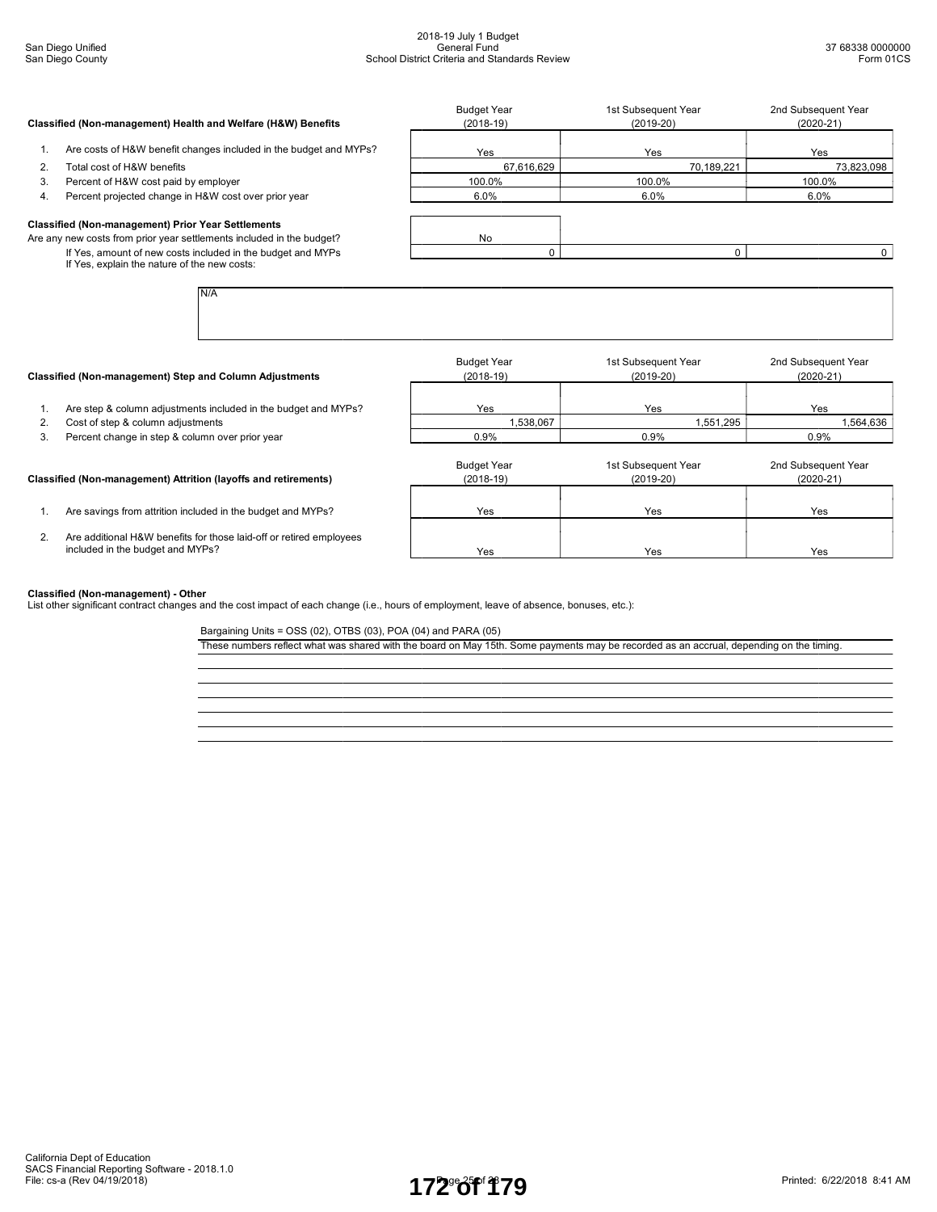|    | Classified (Non-management) Health and Welfare (H&W) Benefits                                               | <b>Budget Year</b><br>$(2018-19)$ | 1st Subsequent Year<br>$(2019-20)$ | 2nd Subsequent Year<br>$(2020-21)$ |
|----|-------------------------------------------------------------------------------------------------------------|-----------------------------------|------------------------------------|------------------------------------|
|    | Are costs of H&W benefit changes included in the budget and MYPs?                                           | Yes                               | Yes                                | Yes                                |
| 2. | Total cost of H&W benefits                                                                                  | 67.616.629                        | 70,189,221                         | 73,823,098                         |
| 3. | Percent of H&W cost paid by employer                                                                        | 100.0%                            | 100.0%                             | 100.0%                             |
| 4. | Percent projected change in H&W cost over prior year                                                        | $6.0\%$                           | $6.0\%$                            | $6.0\%$                            |
|    | <b>Classified (Non-management) Prior Year Settlements</b>                                                   |                                   |                                    |                                    |
|    | Are any new costs from prior year settlements included in the budget?                                       | No                                |                                    |                                    |
|    | If Yes, amount of new costs included in the budget and MYPs<br>If Yes, explain the nature of the new costs: |                                   |                                    |                                    |
|    | N/A                                                                                                         |                                   |                                    |                                    |

|                                                                                                         | <b>Budget Year</b><br>$(2018-19)$                                                                                          | 1st Subsequent Year<br>$(2019-20)$ | 2nd Subsequent Year<br>$(2020-21)$ |
|---------------------------------------------------------------------------------------------------------|----------------------------------------------------------------------------------------------------------------------------|------------------------------------|------------------------------------|
| Are step & column adjustments included in the budget and MYPs?                                          | Yes                                                                                                                        | Yes                                | Yes                                |
| Cost of step & column adjustments                                                                       | 1,538,067                                                                                                                  | 1,551,295                          | 1,564,636                          |
| Percent change in step & column over prior year                                                         | 0.9%                                                                                                                       | 0.9%                               | 0.9%                               |
|                                                                                                         | <b>Budget Year</b><br>$(2018-19)$                                                                                          | 1st Subsequent Year<br>$(2019-20)$ | 2nd Subsequent Year<br>$(2020-21)$ |
| Are savings from attrition included in the budget and MYPs?                                             | Yes                                                                                                                        | Yes                                | Yes                                |
| Are additional H&W benefits for those laid-off or retired employees<br>included in the budget and MYPs? | Yes                                                                                                                        | Yes                                | Yes                                |
|                                                                                                         | Classified (Non-management) Step and Column Adjustments<br>Classified (Non-management) Attrition (layoffs and retirements) |                                    |                                    |

#### Classified (Non-management) - Other

List other significant contract changes and the cost impact of each change (i.e., hours of employment, leave of absence, bonuses, etc.):

Bargaining Units = OSS (02), OTBS (03), POA (04) and PARA (05)

These numbers reflect what was shared with the board on May 15th. Some payments may be recorded as an accrual, depending on the timing.